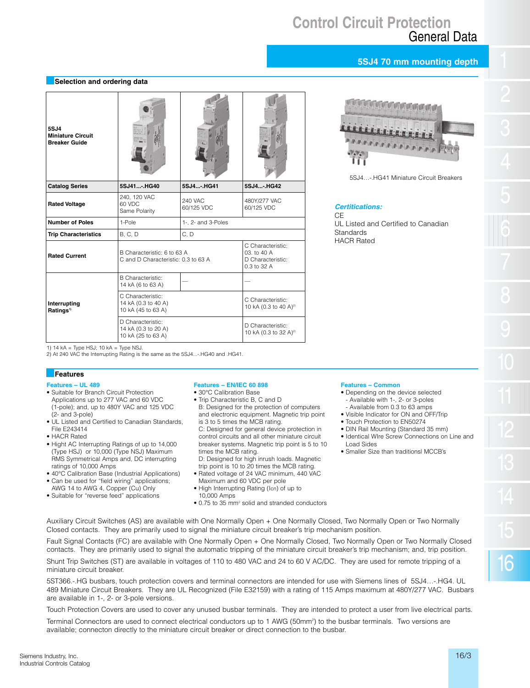# **Control Circuit Protection** General Data

# **5SJ4 70 mm mounting depth**

## **Selection and ordering data**

| 5SJ4<br><b>Miniature Circuit</b><br><b>Breaker Guide</b> |                                                                    |                       |                                                                      |
|----------------------------------------------------------|--------------------------------------------------------------------|-----------------------|----------------------------------------------------------------------|
| <b>Catalog Series</b>                                    | 5SJ41HG40                                                          | 5SJ4-.HG41            | 5SJ4HG42                                                             |
| <b>Rated Voltage</b>                                     | 240, 120 VAC<br>60 VDC<br>Same Polarity                            | 240 VAC<br>60/125 VDC | 480Y/277 VAC<br>60/125 VDC                                           |
| <b>Number of Poles</b>                                   | 1-Pole                                                             | 1-, 2- and 3-Poles    |                                                                      |
| <b>Trip Characteristics</b>                              | <b>B. C. D</b>                                                     | C, D                  |                                                                      |
| <b>Rated Current</b>                                     | B Characteristic: 6 to 63 A<br>C and D Characteristic: 0.3 to 63 A |                       | C Characteristic:<br>03. to 40 A<br>D Characteristic:<br>0.3 to 32 A |
| Interrupting<br>Ratings <sup>1)</sup>                    | <b>B</b> Characteristic:<br>14 kA (6 to 63 A)                      |                       |                                                                      |
|                                                          | C Characteristic:<br>14 kA (0.3 to 40 A)<br>10 kA (45 to 63 A)     |                       | C Characteristic:<br>10 kA (0.3 to 40 A) <sup>2)</sup>               |
|                                                          | D Characteristic:<br>14 kA (0.3 to 20 A)<br>10 kA (25 to 63 A)     |                       | D Characteristic:<br>10 kA (0.3 to 32 A) <sup>2)</sup>               |



5SJ4 - HG41 Miniature Circuit Breakers

# **Certitications:**

CE UL Listed and Certified to Canadian **Standards** HACR Rated

1) 14 kA = Type HSJ; 10 kA = Type NSJ.

2) At 240 VAC the Interrupting Rating is the same as the 5SJ4...-.HG40 and .HG41.

#### **Features**

- **Features UL 489**
- Suitable for Branch Circuit Protection Applications up to 277 VAC and 60 VDC (1-pole); and, up to 480Y VAC and 125 VDC (2- and 3-pole)
- UL Listed and Certified to Canadian Standards, File E243414
- HACR Rated
- Hight AC Interrupting Ratings of up to 14,000 (Type HSJ) or 10,000 (Type NSJ) Maximum RMS Symmetrical Amps and, DC interrupting ratings of 10,000 Amps
- 40°C Calibration Base (Industrial Applications)
- Can be used for "field wiring" applications; AWG 14 to AWG 4, Copper (Cu) Only
- Suitable for "reverse feed" applications
- 

#### **Features – EN/IEC 60 898**

- 30°C Calibration Base
- Trip Characteristic B, C and D B: Designed for the protection of computers

and electronic equipment. Magnetic trip point is 3 to 5 times the MCB rating. C: Designed for general device protection in control circuits and all other miniature circuit breaker systems. Magnetic trip point is 5 to 10 times the MCB rating.

- D: Designed for high inrush loads. Magnetic trip point is 10 to 20 times the MCB rating.
- Rated voltage of 24 VAC minimum, 440 VAC Maximum and 60 VDC per pole
- High Interrupting Rating (Icn) of up to 10,000 Amps
- 0.75 to 35 mm2 solid and stranded conductors

# **Features – Common**

- Depending on the device selected - Available with 1-, 2- or 3-poles
- Available from 0.3 to 63 amps • Visible Indicator for ON and OFF/Trip
- Touch Protection to EN50274
- DIN Rail Mounting (Standard 35 mm)
- Identical WIre Screw Connections on Line and Load Sides
- Smaller Size than traditionsl MCCB's

Auxiliary Circuit Switches (AS) are available with One Normally Open + One Normally Closed, Two Normally Open or Two Normally Closed contacts. They are primarily used to signal the miniature circuit breaker's trip mechanism position.

Fault Signal Contacts (FC) are available with One Normally Open + One Normally Closed, Two Normally Open or Two Normally Closed contacts. They are primarily used to signal the automatic tripping of the miniature circuit breaker's trip mechanism; and, trip position.

Shunt Trip Switches (ST) are available in voltages of 110 to 480 VAC and 24 to 60 V AC/DC. They are used for remote tripping of a miniature circuit breaker.

5ST366.-.HG busbars, touch protection covers and terminal connectors are intended for use with Siemens lines of 5SJ4…-.HG4. UL 489 Miniature Circuit Breakers. They are UL Recognized (File E32159) with a rating of 115 Amps maximum at 480Y/277 VAC. Busbars are available in 1-, 2- or 3-pole versions.

Touch Protection Covers are used to cover any unused busbar terminals. They are intended to protect a user from live electrical parts.

Terminal Connectors are used to connect electrical conductors up to 1 AWG (50mm<sup>2</sup>) to the busbar terminals. Two versions are available; connecton directly to the miniature circuit breaker or direct connection to the busbar.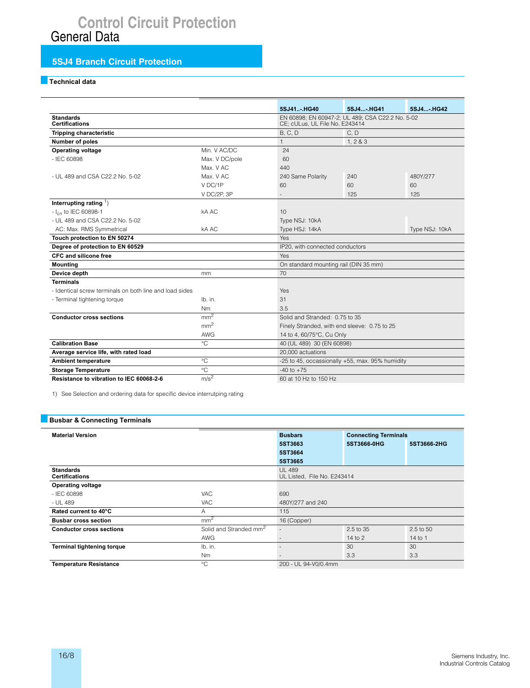# **Control Circuit Protection**<br>General Data

# **5SJ4 Branch Circuit Protection**

# Technical data

|                                                         |                                                   | 5SJ41HG40                             | 5SJ4-. HG41                                                                        | 5SJ4-.HG42 |  |  |
|---------------------------------------------------------|---------------------------------------------------|---------------------------------------|------------------------------------------------------------------------------------|------------|--|--|
| <b>Standards</b><br><b>Certifications</b>               |                                                   |                                       | EN 60898; EN 60947-2; UL 489; CSA C22.2 No. 5-02<br>CE; cULus, UL File No. E243414 |            |  |  |
| <b>Tripping characteristic</b>                          |                                                   | B, C, D                               | C, D                                                                               |            |  |  |
| Number of poles                                         |                                                   | 1                                     | 1, 283                                                                             |            |  |  |
| <b>Operating voltage</b>                                | Min. V AC/DC                                      | 24                                    |                                                                                    |            |  |  |
| $-$ IFC 60898                                           | Max. V DC/pole                                    | 60                                    |                                                                                    |            |  |  |
|                                                         | Max. V AC                                         | 440                                   |                                                                                    |            |  |  |
| - UL 489 and CSA C22.2 No. 5-02                         | Max. V AC                                         | 240 Same Polarity                     | 240                                                                                | 480Y/277   |  |  |
|                                                         | V DC/1P                                           | 60                                    | 60                                                                                 | 60         |  |  |
|                                                         | V DC/2P, 3P                                       |                                       | 125                                                                                | 125        |  |  |
| Interrupting rating $\frac{1}{2}$                       |                                                   |                                       |                                                                                    |            |  |  |
| - I <sub>cn</sub> to IEC 60898-1                        | kA AC                                             | 10                                    |                                                                                    |            |  |  |
| - UL 489 and CSA C22.2 No. 5-02                         |                                                   | Type NSJ: 10kA                        |                                                                                    |            |  |  |
| AC: Max. RMS Symmetrical                                | kA AC                                             | Type HSJ: 14kA                        | Type NSJ: 10kA                                                                     |            |  |  |
| Touch protection to EN 50274                            |                                                   | Yes                                   |                                                                                    |            |  |  |
| Degree of protection to EN 60529                        |                                                   |                                       | IP20, with connected conductors                                                    |            |  |  |
| <b>CFC and silicone free</b>                            |                                                   | Yes                                   |                                                                                    |            |  |  |
| <b>Mounting</b>                                         |                                                   | On standard mounting rail (DIN 35 mm) |                                                                                    |            |  |  |
| Device depth                                            | mm                                                | 70                                    |                                                                                    |            |  |  |
| <b>Terminals</b>                                        |                                                   |                                       |                                                                                    |            |  |  |
| - Identical screw terminals on both line and load sides |                                                   | Yes                                   |                                                                                    |            |  |  |
| - Terminal tightening torque                            | lb. in.                                           | 31                                    |                                                                                    |            |  |  |
|                                                         | Nm                                                | 3.5                                   |                                                                                    |            |  |  |
| <b>Conductor cross sections</b>                         | mm <sup>2</sup><br>Solid and Stranded: 0.75 to 35 |                                       |                                                                                    |            |  |  |
|                                                         | mm <sup>2</sup>                                   |                                       | Finely Stranded, with end sleeve: 0.75 to 25                                       |            |  |  |
|                                                         | <b>AWG</b>                                        | 14 to 4, 60/75°C, Cu Only             |                                                                                    |            |  |  |
| <b>Calibration Base</b>                                 | $^{\circ}C$                                       |                                       | 40 (UL 489) 30 (EN 60898)                                                          |            |  |  |
| Average service life, with rated load                   |                                                   | 20,000 actuations                     |                                                                                    |            |  |  |
| <b>Ambient temperature</b>                              | $^{\circ}$ C                                      |                                       | -25 to 45, occassionally +55, max. 95% humidity                                    |            |  |  |
| <b>Storage Temperature</b>                              | $^{\circ}$ C                                      | $-40$ to $+75$                        |                                                                                    |            |  |  |
| Resistance to vibration to IEC 60068-2-6                | m/s <sup>2</sup>                                  | 60 at 10 Hz to 150 Hz                 |                                                                                    |            |  |  |

1) See Selection and ordering data for specific device interrutping rating

## **Busbar & Connecting Terminals**

| <b>Material Version</b>                   |                                    | <b>Busbars</b><br><b>Connecting Terminals</b> |             |                 |
|-------------------------------------------|------------------------------------|-----------------------------------------------|-------------|-----------------|
|                                           |                                    | 5ST3663                                       | 5ST3666-0HG | 5ST3666-2HG     |
|                                           |                                    | 5ST3664                                       |             |                 |
|                                           |                                    | 5ST3665                                       |             |                 |
| <b>Standards</b><br><b>Certifications</b> |                                    | <b>UL 489</b><br>UL Listed, File No. E243414  |             |                 |
| <b>Operating voltage</b>                  |                                    |                                               |             |                 |
| $-$ IEC 60898                             | <b>VAC</b>                         | 690                                           |             |                 |
| - UL 489                                  | <b>VAC</b>                         | 480Y/277 and 240                              |             |                 |
| Rated current to 40°C                     | A                                  | 115                                           |             |                 |
| <b>Busbar cross section</b>               | mm <sup>2</sup>                    | 16 (Copper)                                   |             |                 |
| <b>Conductor cross sections</b>           | Solid and Stranded mm <sup>2</sup> |                                               | 2.5 to 35   | 2.5 to 50       |
|                                           | AWG                                |                                               | 14 to $2$   | 14 to 1         |
| <b>Terminal tightening torque</b>         | Ib. in.                            |                                               | 30          | 30 <sub>o</sub> |
|                                           | N <sub>m</sub>                     |                                               | 3.3         | 3.3             |
| <b>Temperature Resistance</b>             | $^{\circ}$ C                       | 200 - UL 94-V0/0.4mm                          |             |                 |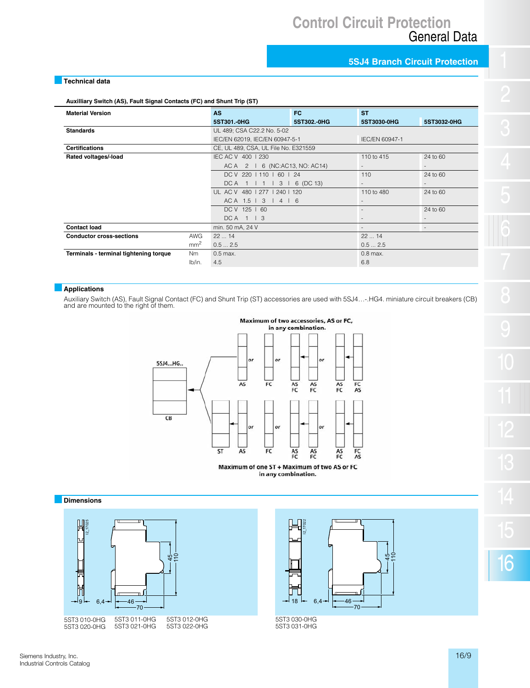# **5SJ4 Branch Circuit Protection**

# **Technical data**

**Auxilliary Switch (AS), Fault Signal Contacts (FC) and Shunt Trip (ST)**

| <b>Material Version</b>                |                 | <b>AS</b>                            | FC          | <b>ST</b>      |                          |
|----------------------------------------|-----------------|--------------------------------------|-------------|----------------|--------------------------|
|                                        |                 | 5ST301.0HG                           | 5ST302, 0HG | 5ST3030-0HG    | 5ST3032-0HG              |
| <b>Standards</b>                       |                 | UL 489; CSA C22.2 No. 5-02           |             |                |                          |
|                                        |                 | IEC/EN 62019, IEC/EN 60947-5-1       |             | IEC/EN 60947-1 |                          |
| <b>Certifications</b>                  |                 | CE, UL 489, CSA, UL File No. E321559 |             |                |                          |
| Rated voltages/-load                   |                 | IEC AC V 400   230                   |             | 110 to 415     | 24 to 60                 |
|                                        |                 | AC A 2   6 (NC:AC13, NO: AC14)       |             |                |                          |
|                                        |                 | DC V 220   110   60   24             |             | 110            | 24 to 60                 |
|                                        |                 | DCA 1   1   3  <br>6 (DC 13)         |             | $\sim$         | $\sim$                   |
|                                        |                 | UL AC V 480   277   240   120        |             | 110 to 480     | 24 to 60                 |
|                                        |                 | ACA 1.5   3   4   6                  |             | $\sim$         |                          |
|                                        |                 | DC V 125   60                        |             |                | 24 to 60                 |
|                                        |                 | $DCA$ 1   3                          |             | ۰.             | н.                       |
| <b>Contact load</b>                    |                 | min. 50 mA, 24 V                     |             | ۰.             | $\overline{\phantom{a}}$ |
| <b>Conductor cross-sections</b>        | <b>AWG</b>      | 2214                                 |             | 2214           |                          |
|                                        | mm <sup>2</sup> | 0.52.5<br>0.52.5                     |             |                |                          |
| Terminals - terminal tightening torque | Nm              | $0.5$ max.<br>$0.8$ max.             |             |                |                          |
|                                        | lb/in.          | 4.5                                  |             | 6.8            |                          |

# **Applications**

Auxiliary Switch (AS), Fault Signal Contact (FC) and Shunt Trip (ST) accessories are used with 5SJ4…-.HG4. miniature circuit breakers (CB) and are mounted to the right of them.



Maximum of one ST + Maximum of two AS or FC in any combination.

#### **Dimensions**





5ST3 030-0HG 5ST3 031-0HG